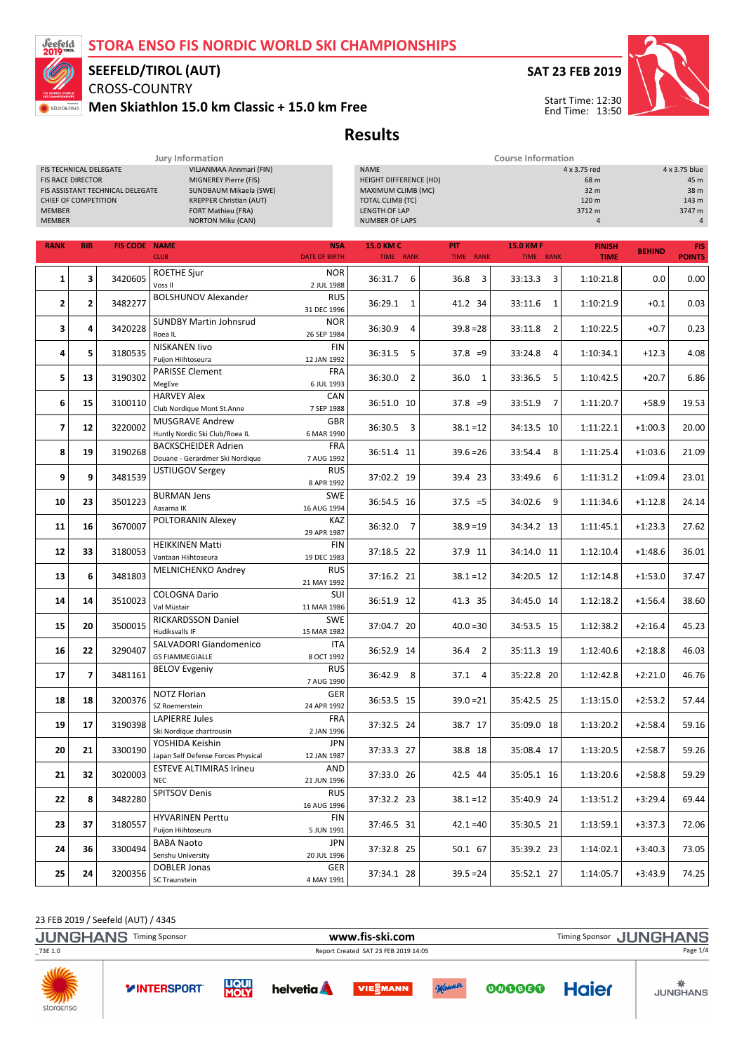### STORA ENSO FIS NORDIC WORLD SKI CHAMPIONSHIPS



# SEEFELD/TIROL (AUT)

# CROSS-COUNTRY Men Skiathlon 15.0 km Classic + 15.0 km Free



Start Time: 12:30 End Time: 13:50



# Results

Jury Information Course Information

| <b>MEMBER</b><br><b>MEMBER</b> | FIS TECHNICAL DELEGATE<br><b>FIS RACE DIRECTOR</b><br>CHIEF OF COMPETITION | FIS ASSISTANT TECHNICAL DELEGATE | VILJANMAA Annmari (FIN)<br>MIGNEREY Pierre (FIS)<br>SUNDBAUM Mikaela (SWE)<br><b>KREPPER Christian (AUT)</b><br>FORT Mathieu (FRA)<br><b>NORTON Mike (CAN)</b> |                                         | <b>NAME</b><br>HEIGHT DIFFERENCE (HD)<br>MAXIMUM CLIMB (MC)<br><b>TOTAL CLIMB (TC)</b><br>LENGTH OF LAP<br><b>NUMBER OF LAPS</b> |                        |                               | 4 x 3.75 red<br>68 m<br>32 m<br>120 m<br>3712 m<br>$\overline{4}$ |               | 4 x 3.75 blue<br>45 m<br>38 m<br>143 m<br>3747 m<br>$\overline{4}$ |
|--------------------------------|----------------------------------------------------------------------------|----------------------------------|----------------------------------------------------------------------------------------------------------------------------------------------------------------|-----------------------------------------|----------------------------------------------------------------------------------------------------------------------------------|------------------------|-------------------------------|-------------------------------------------------------------------|---------------|--------------------------------------------------------------------|
| <b>RANK</b>                    | <b>BIB</b>                                                                 | <b>FIS CODE NAME</b>             | <b>CLUB</b>                                                                                                                                                    | <b>NSA</b><br><b>DATE OF BIRTH</b>      | 15.0 KM C<br>TIME RANK                                                                                                           | PIT<br>TIME RANK       | <b>15.0 KM F</b><br>TIME RANK | <b>FINISH</b><br><b>TIME</b>                                      | <b>BEHIND</b> | <b>FIS</b><br><b>POINTS</b>                                        |
| $\mathbf{1}$                   | 3                                                                          | 3420605                          | <b>ROETHE Sjur</b><br>Voss II                                                                                                                                  | <b>NOR</b><br>2 JUL 1988                | 36:31.7 6                                                                                                                        | 36.8<br>3              | 3<br>33:13.3                  | 1:10:21.8                                                         | 0.0           | 0.00                                                               |
| $\overline{2}$                 | $\mathbf{2}$                                                               | 3482277                          | <b>BOLSHUNOV Alexander</b>                                                                                                                                     | <b>RUS</b><br>31 DEC 1996               | 36:29.1<br>1                                                                                                                     | 41.2 34                | 33:11.6<br>1                  | 1:10:21.9                                                         | $+0.1$        | 0.03                                                               |
| 3                              | 4                                                                          | 3420228                          | <b>SUNDBY Martin Johnsrud</b><br>Roea IL                                                                                                                       | <b>NOR</b><br>26 SEP 1984               | 36:30.9<br>4                                                                                                                     | $39.8 = 28$            | $\overline{2}$<br>33:11.8     | 1:10:22.5                                                         | $+0.7$        | 0.23                                                               |
| 4                              | 5                                                                          | 3180535                          | <b>NISKANEN livo</b><br>Puijon Hiihtoseura                                                                                                                     | <b>FIN</b><br>12 JAN 1992               | 36:31.5 5                                                                                                                        | $37.8 = 9$             | 33:24.8<br>4                  | 1:10:34.1                                                         | $+12.3$       | 4.08                                                               |
| 5                              | 13                                                                         | 3190302                          | <b>PARISSE Clement</b><br>MegEve                                                                                                                               | <b>FRA</b><br>6 JUL 1993                | 36:30.0<br>2                                                                                                                     | 36.0<br>1              | 33:36.5<br>5                  | 1:10:42.5                                                         | $+20.7$       | 6.86                                                               |
| 6                              | 15                                                                         | 3100110                          | <b>HARVEY Alex</b><br>Club Nordique Mont St.Anne                                                                                                               | CAN<br>7 SEP 1988                       | 36:51.0 10                                                                                                                       | $37.8 = 9$             | 33:51.9<br>7                  | 1:11:20.7                                                         | $+58.9$       | 19.53                                                              |
| $\overline{7}$                 | 12                                                                         | 3220002                          | <b>MUSGRAVE Andrew</b><br>Huntly Nordic Ski Club/Roea IL                                                                                                       | <b>GBR</b><br>6 MAR 1990                | 36:30.5 3                                                                                                                        | $38.1 = 12$            | 34:13.5 10                    | 1:11:22.1                                                         | $+1:00.3$     | 20.00                                                              |
| 8                              | 19                                                                         | 3190268                          | <b>BACKSCHEIDER Adrien</b><br>Douane - Gerardmer Ski Nordique                                                                                                  | <b>FRA</b><br>7 AUG 1992                | 36:51.4 11                                                                                                                       | $39.6 = 26$            | 33:54.4<br>8                  | 1:11:25.4                                                         | $+1:03.6$     | 21.09                                                              |
| 9                              | 9                                                                          | 3481539                          | USTIUGOV Sergey                                                                                                                                                | <b>RUS</b><br>8 APR 1992                | 37:02.2 19                                                                                                                       | 39.4 23                | 33:49.6<br>6                  | 1:11:31.2                                                         | $+1:09.4$     | 23.01                                                              |
| 10                             | 23                                                                         | 3501223                          | <b>BURMAN Jens</b><br>Aasarna IK                                                                                                                               | <b>SWE</b><br>16 AUG 1994               | 36:54.5 16                                                                                                                       | $37.5 = 5$             | 34:02.6<br>9                  | 1:11:34.6                                                         | $+1:12.8$     | 24.14                                                              |
| 11                             | 16                                                                         | 3670007                          | POLTORANIN Alexey<br><b>HEIKKINEN Matti</b>                                                                                                                    | <b>KAZ</b><br>29 APR 1987<br><b>FIN</b> | 36:32.0 7                                                                                                                        | $38.9 = 19$            | 34:34.2 13                    | 1:11:45.1                                                         | $+1:23.3$     | 27.62                                                              |
| 12                             | 33                                                                         | 3180053                          | Vantaan Hiihtoseura                                                                                                                                            | 19 DEC 1983<br><b>RUS</b>               | 37:18.5 22                                                                                                                       | 37.9 11                | 34:14.0 11                    | 1:12:10.4                                                         | $+1:48.6$     | 36.01                                                              |
| 13                             | 6                                                                          | 3481803                          | <b>MELNICHENKO Andrey</b><br><b>COLOGNA Dario</b>                                                                                                              | 21 MAY 1992<br>SUI                      | 37:16.2 21                                                                                                                       | $38.1 = 12$            | 34:20.5 12                    | 1:12:14.8                                                         | $+1:53.0$     | 37.47                                                              |
| 14                             | 14                                                                         | 3510023                          | Val Müstair                                                                                                                                                    | 11 MAR 1986                             | 36:51.9 12                                                                                                                       | 41.3 35                | 34:45.0 14                    | 1:12:18.2                                                         | $+1:56.4$     | 38.60                                                              |
| 15                             | 20                                                                         | 3500015                          | <b>RICKARDSSON Daniel</b><br>Hudiksvalls IF                                                                                                                    | <b>SWE</b><br>15 MAR 1982<br><b>ITA</b> | 37:04.7 20                                                                                                                       | $40.0 = 30$            | 34:53.5 15                    | 1:12:38.2                                                         | $+2:16.4$     | 45.23                                                              |
| 16                             | 22                                                                         | 3290407                          | SALVADORI Giandomenico<br><b>GS FIAMMEGIALLE</b>                                                                                                               | 8 OCT 1992<br><b>RUS</b>                | 36:52.9 14                                                                                                                       | 36.4<br>2              | 35:11.3 19                    | 1:12:40.6                                                         | $+2:18.8$     | 46.03                                                              |
| 17                             | $\overline{7}$                                                             | 3481161                          | <b>BELOV Evgeniy</b><br><b>NOTZ Florian</b>                                                                                                                    | 7 AUG 1990<br>GER                       | 36:42.9 8                                                                                                                        | 37.1<br>$\overline{4}$ | 35:22.8 20                    | 1:12:42.8                                                         | $+2:21.0$     | 46.76                                                              |
| 18                             | 18                                                                         | 3200376                          | SZ Roemerstein<br><b>LAPIERRE Jules</b>                                                                                                                        | 24 APR 1992<br>FRA                      | 36:53.5 15                                                                                                                       | $39.0 = 21$            | 35:42.5 25                    | 1:13:15.0                                                         | $+2:53.2$     | 57.44                                                              |
| 19                             | 17                                                                         | 3190398                          | Ski Nordique chartrousin<br>YOSHIDA Keishin                                                                                                                    | 2 JAN 1996<br>JPN                       | 37:32.5 24                                                                                                                       | 38.7 17                | 35:09.0 18                    | 1:13:20.2                                                         | $+2:58.4$     | 59.16                                                              |
| 20                             | 21                                                                         | 3300190                          | Japan Self Defense Forces Physical<br><b>ESTEVE ALTIMIRAS Irineu</b>                                                                                           | 12 JAN 1987<br>AND                      | 37:33.3 27                                                                                                                       | 38.8 18                | 35:08.4 17                    | 1:13:20.5                                                         | $+2:58.7$     | 59.26                                                              |
| 21                             | 32                                                                         | 3020003                          | <b>NEC</b><br><b>SPITSOV Denis</b>                                                                                                                             | 21 JUN 1996<br><b>RUS</b>               | 37:33.0 26                                                                                                                       | 42.5 44                | 35:05.1 16                    | 1:13:20.6                                                         | $+2:58.8$     | 59.29                                                              |
| 22                             | 8                                                                          | 3482280                          | <b>HYVARINEN Perttu</b>                                                                                                                                        | 16 AUG 1996<br>FIN                      | 37:32.2 23                                                                                                                       | 38.1 =12               | 35:40.9 24                    | 1:13:51.2                                                         | $+3:29.4$     | 69.44                                                              |
| 23                             | 37                                                                         | 3180557                          | Puijon Hiihtoseura<br><b>BABA Naoto</b>                                                                                                                        | 5 JUN 1991<br>JPN                       | 37:46.5 31                                                                                                                       | $42.1 = 40$            | 35:30.5 21                    | 1:13:59.1                                                         | $+3:37.3$     | 72.06                                                              |
| 24                             | 36                                                                         | 3300494                          | Senshu University<br>DOBLER Jonas                                                                                                                              | 20 JUL 1996<br>GER                      | 37:32.8 25                                                                                                                       | 50.1 67                | 35:39.2 23                    | 1:14:02.1                                                         | $+3:40.3$     | 73.05                                                              |
| 25                             | 24                                                                         | 3200356                          | SC Traunstein                                                                                                                                                  | 4 MAY 1991                              | 37:34.1 28                                                                                                                       | 39.5 =24               | 35:52.1 27                    | 1:14:05.7                                                         | $+3:43.9$     | 74.25                                                              |

#### 23 FEB 2019 / Seefeld (AUT) / 4345

storaenso

JUNGHANS Timing Sponsor **WWW.fis-ski.com** WWW.fis-Ski.com Timing Sponsor JUNGHANS \_73E 1.0 Report Created SAT 23 FEB 2019 14:05 Page 1/4**WIIZ LIQUI**<br>**MOLY Haier YINTERSPORT** helvetia **A VIESMANN** 000000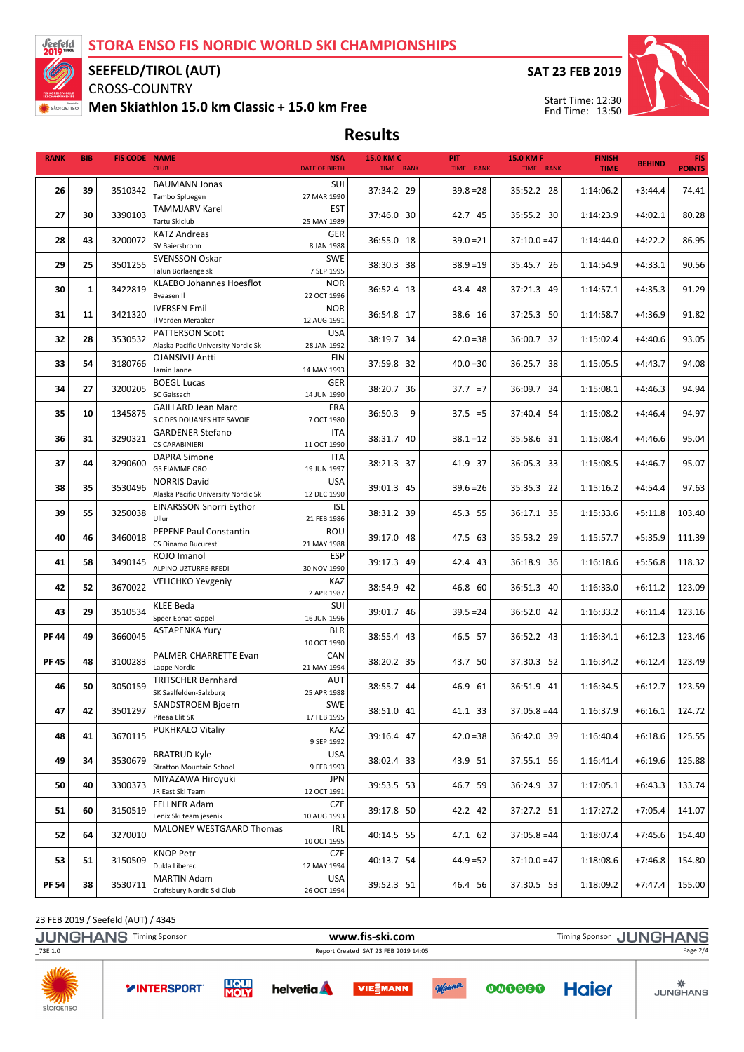storgenso

CROSS-COUNTRY SEEFELD/TIROL (AUT)

Men Skiathlon 15.0 km Classic + 15.0 km Free

SAT 23 FEB 2019



Start Time: 12:30 End Time: 13:50

Results

| <b>RANK</b>  | <b>BIB</b> | <b>FIS CODE NAME</b> | <b>CLUB</b>                                            | <b>NSA</b><br><b>DATE OF BIRTH</b> | 15.0 KM C<br>TIME RANK | <b>PIT</b><br>TIME RANK | 15.0 KM F<br>TIME RANK | <b>FINISH</b><br><b>TIME</b> | <b>BEHIND</b> | <b>FIS</b><br><b>POINTS</b> |
|--------------|------------|----------------------|--------------------------------------------------------|------------------------------------|------------------------|-------------------------|------------------------|------------------------------|---------------|-----------------------------|
|              |            |                      | <b>BAUMANN Jonas</b>                                   | SUI                                |                        |                         |                        |                              |               |                             |
| 26           | 39         | 3510342              | Tambo Spluegen                                         | 27 MAR 1990                        | 37:34.2 29             | $39.8 = 28$             | 35:52.2 28             | 1:14:06.2                    | $+3:44.4$     | 74.41                       |
|              |            |                      |                                                        |                                    |                        |                         |                        |                              |               |                             |
| 27           | 30         | 3390103              | <b>TAMMJARV Karel</b><br><b>Tartu Skiclub</b>          | <b>EST</b>                         | 37:46.0 30             | 42.7 45                 | 35:55.2 30             | 1:14:23.9                    | $+4:02.1$     | 80.28                       |
|              |            |                      | <b>KATZ Andreas</b>                                    | 25 MAY 1989<br>GER                 |                        |                         |                        |                              |               |                             |
| 28           | 43         | 3200072              | SV Baiersbronn                                         | 8 JAN 1988                         | 36:55.0 18             | $39.0 = 21$             | $37:10.0 = 47$         | 1:14:44.0                    | $+4:22.2$     | 86.95                       |
|              |            |                      | <b>SVENSSON Oskar</b>                                  | <b>SWE</b>                         |                        |                         |                        |                              |               |                             |
| 29           | 25         | 3501255              | Falun Borlaenge sk                                     | 7 SEP 1995                         | 38:30.3 38             | $38.9 = 19$             | 35:45.7 26             | 1:14:54.9                    | $+4:33.1$     | 90.56                       |
|              |            |                      | <b>KLAEBO Johannes Hoesflot</b>                        | <b>NOR</b>                         |                        |                         |                        |                              |               |                             |
| 30           | 1          | 3422819              | Byaasen II                                             | 22 OCT 1996                        | 36:52.4 13             | 43.4 48                 | 37:21.3 49             | 1:14:57.1                    | $+4:35.3$     | 91.29                       |
|              |            |                      | <b>IVERSEN Emil</b>                                    | <b>NOR</b>                         |                        |                         |                        |                              |               |                             |
| 31           | 11         | 3421320              | Il Varden Meraaker                                     | 12 AUG 1991                        | 36:54.8 17             | 38.6 16                 | 37:25.3 50             | 1:14:58.7                    | $+4:36.9$     | 91.82                       |
|              |            |                      | <b>PATTERSON Scott</b>                                 | <b>USA</b>                         |                        |                         |                        |                              |               |                             |
| 32           | 28         | 3530532              | Alaska Pacific University Nordic Sk                    | 28 JAN 1992                        | 38:19.7 34             | $42.0 = 38$             | 36:00.7 32             | 1:15:02.4                    | $+4:40.6$     | 93.05                       |
|              |            |                      | OJANSIVU Antti                                         | <b>FIN</b>                         |                        |                         |                        |                              |               |                             |
| 33           | 54         | 3180766              | Jamin Janne                                            | 14 MAY 1993                        | 37:59.8 32             | $40.0 = 30$             | 36:25.7 38             | 1:15:05.5                    | $+4:43.7$     | 94.08                       |
|              |            |                      | <b>BOEGL Lucas</b>                                     | GER                                |                        |                         |                        |                              |               |                             |
| 34           | 27         | 3200205              | SC Gaissach                                            | 14 JUN 1990                        | 38:20.7 36             | $37.7 = 7$              | 36:09.7 34             | 1:15:08.1                    | $+4:46.3$     | 94.94                       |
|              |            |                      | <b>GAILLARD Jean Marc</b>                              | <b>FRA</b>                         |                        |                         |                        |                              |               |                             |
| 35           | 10         | 1345875              | S.C DES DOUANES HTE SAVOIE                             | 7 OCT 1980                         | 36:50.3 9              | $37.5 = 5$              | 37:40.4 54             | 1:15:08.2                    | $+4:46.4$     | 94.97                       |
|              |            |                      | <b>GARDENER Stefano</b>                                | ITA                                |                        |                         |                        |                              |               |                             |
| 36           |            | 31<br>3290321        | <b>CS CARABINIERI</b>                                  | 11 OCT 1990                        | 38:31.7 40             | $38.1 = 12$             | 35:58.6 31             | 1:15:08.4                    | $+4:46.6$     | 95.04                       |
|              |            |                      | <b>DAPRA Simone</b>                                    | <b>ITA</b>                         |                        |                         |                        |                              |               |                             |
|              | 44<br>37   | 3290600              | <b>GS FIAMME ORO</b>                                   | 19 JUN 1997                        | 38:21.3 37             | 41.9 37                 | 36:05.3 33             | 1:15:08.5                    | $+4:46.7$     | 95.07                       |
|              |            |                      | <b>NORRIS David</b>                                    | <b>USA</b>                         |                        |                         |                        |                              |               |                             |
| 38           | 35         | 3530496              | Alaska Pacific University Nordic Sk                    | 12 DEC 1990                        | 39:01.3 45             | $39.6 = 26$             | 35:35.3 22             | 1:15:16.2                    | $+4:54.4$     | 97.63                       |
|              |            |                      | <b>EINARSSON Snorri Eythor</b>                         | ISL                                |                        |                         |                        |                              |               |                             |
| 39           | 55         | 3250038              | Ullur                                                  | 21 FEB 1986                        | 38:31.2 39             | 45.3 55                 | 36:17.1 35             | 1:15:33.6                    | $+5:11.8$     | 103.40                      |
|              |            | 3460018              | PEPENE Paul Constantin                                 | ROU                                | 39:17.0 48             | 47.5 63                 | 35:53.2 29             |                              |               | 111.39                      |
| 40           | 46         |                      | CS Dinamo Bucuresti                                    | 21 MAY 1988                        |                        |                         |                        | 1:15:57.7                    | $+5:35.9$     |                             |
|              |            | 3490145              | ROJO Imanol                                            | <b>ESP</b>                         |                        |                         |                        |                              |               |                             |
| 41           | 58         |                      | ALPINO UZTURRE-RFEDI                                   | 30 NOV 1990                        | 39:17.3 49             | 42.4 43                 | 36:18.9 36             | 1:16:18.6                    | $+5:56.8$     | 118.32                      |
| 42           | 52         | 3670022              | <b>VELICHKO Yevgeniy</b>                               | <b>KAZ</b>                         | 38:54.9 42             | 46.8 60                 | 36:51.3 40             | 1:16:33.0                    | $+6:11.2$     | 123.09                      |
|              |            |                      |                                                        | 2 APR 1987                         |                        |                         |                        |                              |               |                             |
| 43           | 29         | 3510534              | <b>KLEE Beda</b>                                       | SUI                                | 39:01.7 46             | $39.5 = 24$             | 36:52.0 42             | 1:16:33.2                    | $+6:11.4$     | 123.16                      |
|              |            |                      | Speer Ebnat kappel                                     | 16 JUN 1996                        |                        |                         |                        |                              |               |                             |
| <b>PF 44</b> | 49         | 3660045              | <b>ASTAPENKA Yury</b>                                  | <b>BLR</b>                         | 38:55.4 43             | 46.5 57                 | 36:52.2 43             | 1:16:34.1                    | $+6:12.3$     | 123.46                      |
|              |            |                      |                                                        | 10 OCT 1990                        |                        |                         |                        |                              |               |                             |
| <b>PF45</b>  |            | 48<br>3100283        | PALMER-CHARRETTE Evan                                  | CAN                                | 38:20.2 35             | 43.7 50                 | 37:30.3 52             | 1:16:34.2                    | $+6:12.4$     | 123.49                      |
|              |            |                      | Lappe Nordic                                           | 21 MAY 1994                        |                        |                         |                        |                              |               |                             |
| 46           |            | 50<br>3050159        | <b>TRITSCHER Bernhard</b>                              | AUT                                | 38:55.7 44             | 46.9 61                 | 36:51.9 41             | 1:16:34.5                    | $+6:12.7$     | 123.59                      |
|              |            |                      | SK Saalfelden-Salzburg                                 | 25 APR 1988                        |                        |                         |                        |                              |               |                             |
| 47           | 42         | 3501297              | SANDSTROEM Bjoern                                      | SWE                                | 38:51.0 41             | 41.1 33                 | $37:05.8 = 44$         | 1:16:37.9                    | $+6:16.1$     | 124.72                      |
|              |            |                      | Piteaa Elit SK                                         | 17 FEB 1995                        |                        |                         |                        |                              |               |                             |
| 48           | 41         | 3670115              | PUKHKALO Vitaliy                                       | KAZ                                | 39:16.4 47             | $42.0 = 38$             | 36:42.0 39             | 1:16:40.4                    | $+6:18.6$     | 125.55                      |
|              |            |                      |                                                        | 9 SEP 1992                         |                        |                         |                        |                              |               |                             |
| 49           | 34         | 3530679              | <b>BRATRUD Kyle</b><br><b>Stratton Mountain School</b> | USA<br>9 FEB 1993                  | 38:02.4 33             | 43.9 51                 | 37:55.1 56             | 1:16:41.4                    | $+6:19.6$     | 125.88                      |
|              |            |                      | MIYAZAWA Hiroyuki                                      | JPN                                |                        |                         |                        |                              |               |                             |
| 50           | 40         | 3300373              | JR East Ski Team                                       | 12 OCT 1991                        | 39:53.5 53             | 46.7 59                 | 36:24.9 37             | 1:17:05.1                    | $+6:43.3$     | 133.74                      |
|              |            | 3150519              | <b>FELLNER Adam</b>                                    | CZE                                |                        |                         |                        |                              |               |                             |
| 51           | 60         |                      | Fenix Ski team jesenik                                 | 10 AUG 1993                        | 39:17.8 50             | 42.2 42                 | 37:27.2 51             | 1:17:27.2                    | $+7:05.4$     | 141.07                      |
|              |            |                      | MALONEY WESTGAARD Thomas                               | IRL                                |                        |                         |                        |                              |               |                             |
| 52           | 64         | 3270010              |                                                        | 10 OCT 1995                        | 40:14.5 55             | 47.1 62                 | $37:05.8 = 44$         | 1:18:07.4                    | $+7:45.6$     | 154.40                      |
|              |            |                      | <b>KNOP Petr</b>                                       | CZE                                |                        |                         |                        |                              |               |                             |
| 53           | 51         | 3150509              | Dukla Liberec                                          | 12 MAY 1994                        | 40:13.7 54             | $44.9 = 52$             | $37:10.0 = 47$         | 1:18:08.6                    | $+7:46.8$     | 154.80                      |
|              |            |                      | <b>MARTIN Adam</b>                                     | <b>USA</b>                         |                        |                         |                        |                              |               |                             |
| <b>PF 54</b> | 38         | 3530711              | Craftsbury Nordic Ski Club                             | 26 OCT 1994                        | 39:52.3 51             | 46.4 56                 | 37:30.5 53             | 1:18:09.2                    | $+7:47.4$     | 155.00                      |

23 FEB 2019 / Seefeld (AUT) / 4345

storaenso

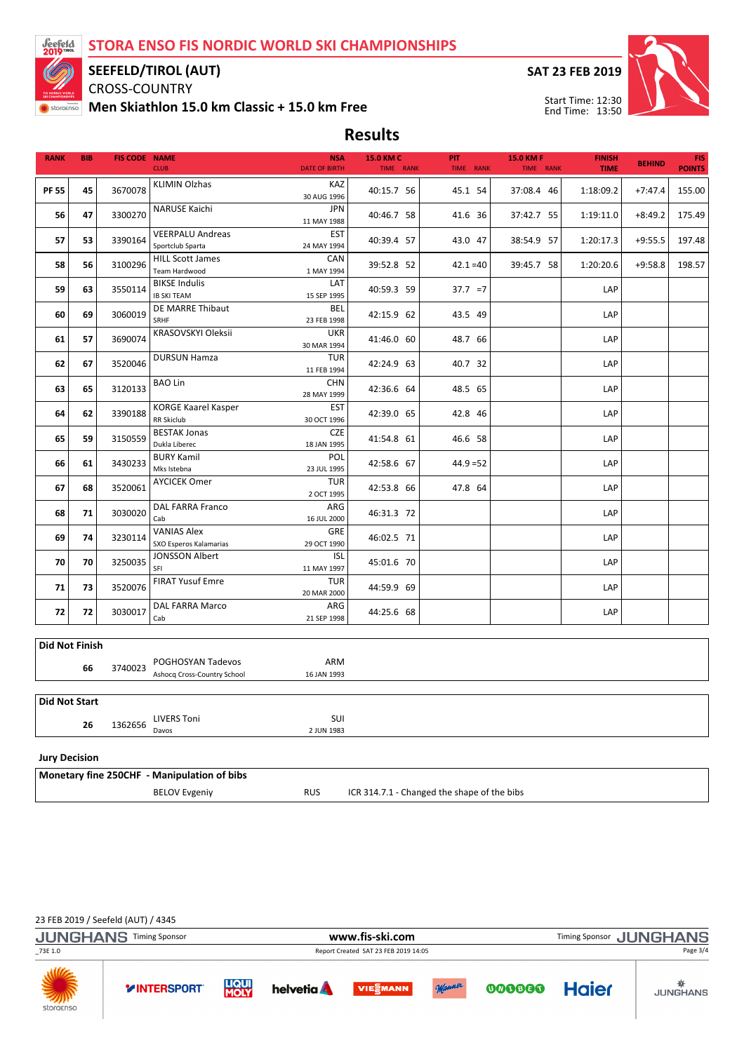$\frac{1}{2}$  storacnso

### CROSS-COUNTRY SEEFELD/TIROL (AUT)

Men Skiathlon 15.0 km Classic + 15.0 km Free





Start Time: 12:30 End Time: 13:50

# Results

| <b>RANK</b>  | <b>BIB</b> | <b>FIS CODE NAME</b> | <b>CLUB</b>                                     | <b>NSA</b><br><b>DATE OF BIRTH</b> | 15.0 KM C<br>TIME RANK | PIT.<br>TIME RANK | <b>15.0 KM F</b><br>TIME RANK | <b>FINISH</b><br><b>TIME</b> | <b>BEHIND</b> | <b>FIS</b><br><b>POINTS</b> |
|--------------|------------|----------------------|-------------------------------------------------|------------------------------------|------------------------|-------------------|-------------------------------|------------------------------|---------------|-----------------------------|
| <b>PF 55</b> | 45         | 3670078              | <b>KLIMIN Olzhas</b>                            | <b>KAZ</b><br>30 AUG 1996          | 40:15.7 56             | 45.1 54           | 37:08.4 46                    | 1:18:09.2                    | $+7:47.4$     | 155.00                      |
| 56           | 47         | 3300270              | NARUSE Kaichi                                   | <b>JPN</b><br>11 MAY 1988          | 40:46.7 58             | 41.6 36           | 37:42.7 55                    | 1:19:11.0                    | $+8:49.2$     | 175.49                      |
| 57           | 53         | 3390164              | <b>VEERPALU Andreas</b><br>Sportclub Sparta     | <b>EST</b><br>24 MAY 1994          | 40:39.4 57             | 43.0 47           | 38:54.9 57                    | 1:20:17.3                    | $+9:55.5$     | 197.48                      |
| 58           | 56         | 3100296              | <b>HILL Scott James</b><br><b>Team Hardwood</b> | <b>CAN</b><br>1 MAY 1994           | 39:52.8 52             | $42.1 = 40$       | 39:45.7 58                    | 1:20:20.6                    | $+9:58.8$     | 198.57                      |
| 59           | 63         | 3550114              | <b>BIKSE Indulis</b><br><b>IB SKI TEAM</b>      | LAT<br>15 SEP 1995                 | 40:59.3 59             | $37.7 = 7$        |                               | LAP                          |               |                             |
| 60           | 69         | 3060019              | DE MARRE Thibaut<br><b>SRHF</b>                 | <b>BEL</b><br>23 FEB 1998          | 42:15.9 62             | 43.5 49           |                               | LAP                          |               |                             |
| 61           | 57         | 3690074              | KRASOVSKYI Oleksii                              | <b>UKR</b><br>30 MAR 1994          | 41:46.0 60             | 48.7 66           |                               | LAP                          |               |                             |
| 62           | 67         | 3520046              | <b>DURSUN Hamza</b>                             | <b>TUR</b><br>11 FEB 1994          | 42:24.9 63             | 40.7 32           |                               | LAP                          |               |                             |
| 63           | 65         | 3120133              | <b>BAO Lin</b>                                  | <b>CHN</b><br>28 MAY 1999          | 42:36.6 64             | 48.5 65           |                               | LAP                          |               |                             |
| 64           | 62         | 3390188              | <b>KORGE Kaarel Kasper</b><br><b>RR Skiclub</b> | <b>EST</b><br>30 OCT 1996          | 42:39.0 65             | 42.8 46           |                               | LAP                          |               |                             |
| 65           | 59         | 3150559              | <b>BESTAK Jonas</b><br>Dukla Liberec            | CZE<br>18 JAN 1995                 | 41:54.8 61             | 46.6 58           |                               | LAP                          |               |                             |
| 66           | 61         | 3430233              | <b>BURY Kamil</b><br>Mks Istebna                | POL<br>23 JUL 1995                 | 42:58.6 67             | $44.9 = 52$       |                               | LAP                          |               |                             |
| 67           | 68         | 3520061              | <b>AYCICEK Omer</b>                             | <b>TUR</b><br>2 OCT 1995           | 42:53.8 66             | 47.8 64           |                               | LAP                          |               |                             |
| 68           | 71         | 3030020              | <b>DAL FARRA Franco</b><br>Cab                  | ARG<br>16 JUL 2000                 | 46:31.3 72             |                   |                               | LAP                          |               |                             |
| 69           | 74         | 3230114              | <b>VANIAS Alex</b><br>SXO Esperos Kalamarias    | <b>GRE</b><br>29 OCT 1990          | 46:02.5 71             |                   |                               | LAP                          |               |                             |
| 70           | 70         | 3250035              | <b>JONSSON Albert</b><br>SFI                    | <b>ISL</b><br>11 MAY 1997          | 45:01.6 70             |                   |                               | LAP                          |               |                             |
| 71           | 73         | 3520076              | <b>FIRAT Yusuf Emre</b>                         | <b>TUR</b><br>20 MAR 2000          | 44:59.9 69             |                   |                               | LAP                          |               |                             |
| 72           | 72         | 3030017              | <b>DAL FARRA Marco</b><br>Cab                   | ARG<br>21 SEP 1998                 | 44:25.6 68             |                   |                               | LAP                          |               |                             |

| <b>Did Not Finish</b> |    |         |                             |             |  |
|-----------------------|----|---------|-----------------------------|-------------|--|
| 66                    |    | 3740023 | POGHOSYAN Tadevos           | <b>ARM</b>  |  |
|                       |    |         | Ashocq Cross-Country School | 16 JAN 1993 |  |
|                       |    |         |                             |             |  |
| <b>Did Not Start</b>  |    |         |                             |             |  |
|                       | 26 | 1362656 | <b>LIVERS Toni</b>          | SUI         |  |
|                       |    |         | Davos                       | 2 JUN 1983  |  |

#### Jury Decision

| Monetary fine 250CHF - Manipulation of bibs |            |                                             |
|---------------------------------------------|------------|---------------------------------------------|
| <b>BELOV Evgeniy</b>                        | <b>RUS</b> | ICR 314.7.1 - Changed the shape of the bibs |

#### 23 FEB 2019 / Seefeld (AUT) / 4345